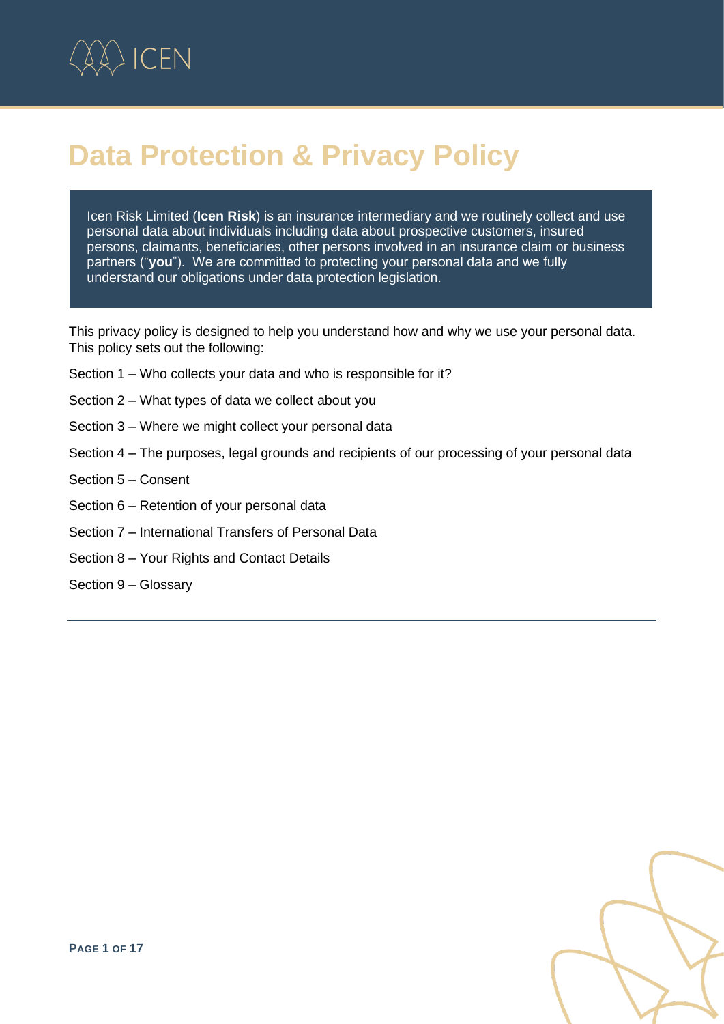

# **Data Protection & Privacy Policy**

Icen Risk Limited (**Icen Risk**) is an insurance intermediary and we routinely collect and use personal data about individuals including data about prospective customers, insured persons, claimants, beneficiaries, other persons involved in an insurance claim or business partners ("**you**"). We are committed to protecting your personal data and we fully understand our obligations under data protection legislation.

This privacy policy is designed to help you understand how and why we use your personal data. This policy sets out the following:

- Section 1 Who collects your data and who is responsible for it?
- Section 2 What types of data we collect about you
- Section 3 Where we might collect your personal data
- Section 4 The purposes, legal grounds and recipients of our processing of your personal data
- Section 5 Consent
- Section 6 Retention of your personal data
- Section 7 International Transfers of Personal Data
- Section 8 Your Rights and Contact Details
- Section 9 Glossary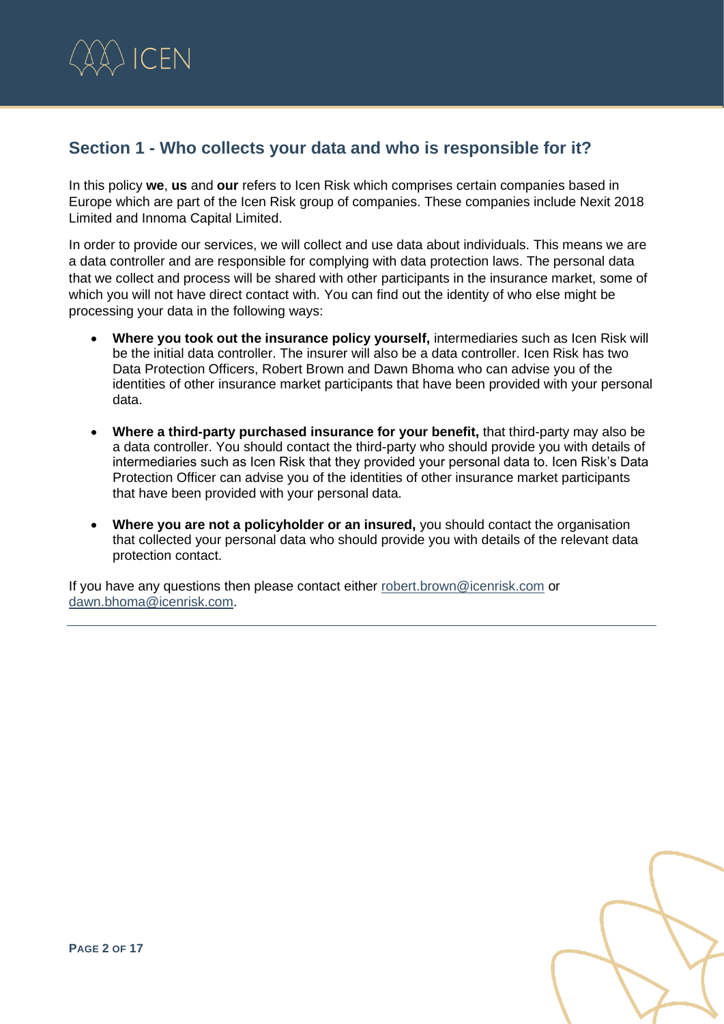

# **Section 1 - Who collects your data and who is responsible for it?**

In this policy **we**, **us** and **our** refers to Icen Risk which comprises certain companies based in Europe which are part of the Icen Risk group of companies. These companies include Nexit 2018 Limited and Innoma Capital Limited.

In order to provide our services, we will collect and use data about individuals. This means we are a data controller and are responsible for complying with data protection laws. The personal data that we collect and process will be shared with other participants in the insurance market, some of which you will not have direct contact with. You can find out the identity of who else might be processing your data in the following ways:

- **Where you took out the insurance policy yourself,** intermediaries such as Icen Risk will be the initial data controller. The insurer will also be a data controller. Icen Risk has two Data Protection Officers, Robert Brown and Dawn Bhoma who can advise you of the identities of other insurance market participants that have been provided with your personal data.
- **Where a third-party purchased insurance for your benefit,** that third-party may also be a data controller. You should contact the third-party who should provide you with details of intermediaries such as Icen Risk that they provided your personal data to. Icen Risk's Data Protection Officer can advise you of the identities of other insurance market participants that have been provided with your personal data.
- **Where you are not a policyholder or an insured,** you should contact the organisation that collected your personal data who should provide you with details of the relevant data protection contact.

If you have any questions then please contact either [robert.brown@icenrisk.com](mailto:robert.brown@icenrisk.com) or [dawn.bhoma@icenrisk.com.](mailto:dawn.bhoma@icenrisk.com)

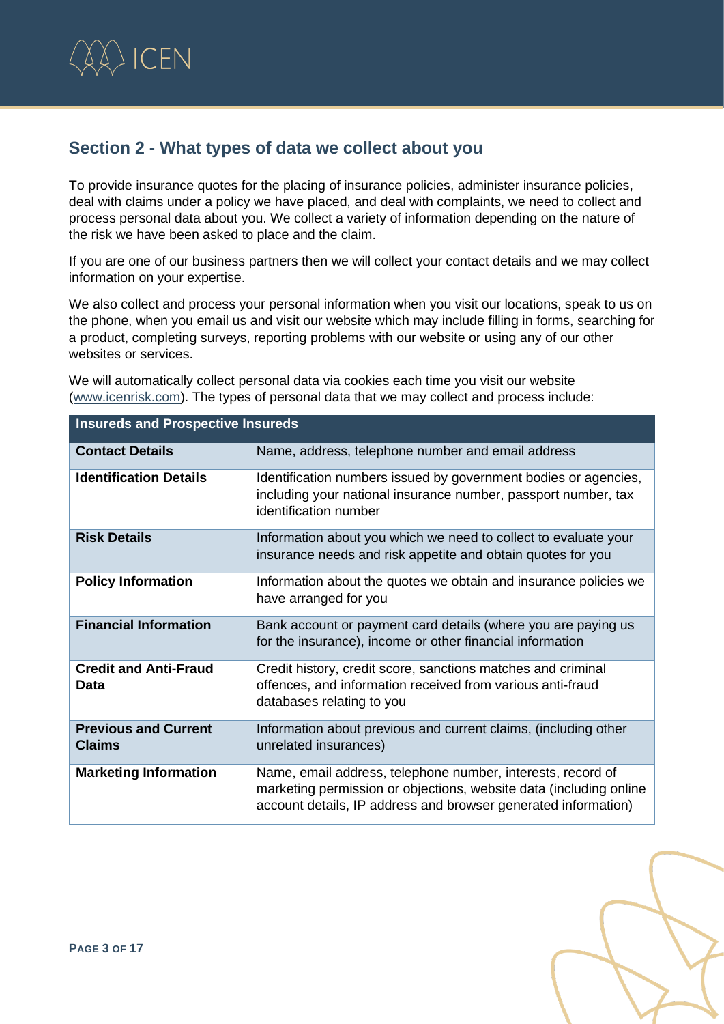

# **Section 2 - What types of data we collect about you**

To provide insurance quotes for the placing of insurance policies, administer insurance policies, deal with claims under a policy we have placed, and deal with complaints, we need to collect and process personal data about you. We collect a variety of information depending on the nature of the risk we have been asked to place and the claim.

If you are one of our business partners then we will collect your contact details and we may collect information on your expertise.

We also collect and process your personal information when you visit our locations, speak to us on the phone, when you email us and visit our website which may include filling in forms, searching for a product, completing surveys, reporting problems with our website or using any of our other websites or services.

We will automatically collect personal data via cookies each time you visit our website [\(www.icenrisk.com\)](http://www.icenrisk.com/). The types of personal data that we may collect and process include:

| <b>Insureds and Prospective Insureds</b>     |                                                                                                                                                                                                     |  |
|----------------------------------------------|-----------------------------------------------------------------------------------------------------------------------------------------------------------------------------------------------------|--|
| <b>Contact Details</b>                       | Name, address, telephone number and email address                                                                                                                                                   |  |
| <b>Identification Details</b>                | Identification numbers issued by government bodies or agencies,<br>including your national insurance number, passport number, tax<br>identification number                                          |  |
| <b>Risk Details</b>                          | Information about you which we need to collect to evaluate your<br>insurance needs and risk appetite and obtain quotes for you                                                                      |  |
| <b>Policy Information</b>                    | Information about the quotes we obtain and insurance policies we<br>have arranged for you                                                                                                           |  |
| <b>Financial Information</b>                 | Bank account or payment card details (where you are paying us<br>for the insurance), income or other financial information                                                                          |  |
| <b>Credit and Anti-Fraud</b><br>Data         | Credit history, credit score, sanctions matches and criminal<br>offences, and information received from various anti-fraud<br>databases relating to you                                             |  |
| <b>Previous and Current</b><br><b>Claims</b> | Information about previous and current claims, (including other<br>unrelated insurances)                                                                                                            |  |
| <b>Marketing Information</b>                 | Name, email address, telephone number, interests, record of<br>marketing permission or objections, website data (including online<br>account details, IP address and browser generated information) |  |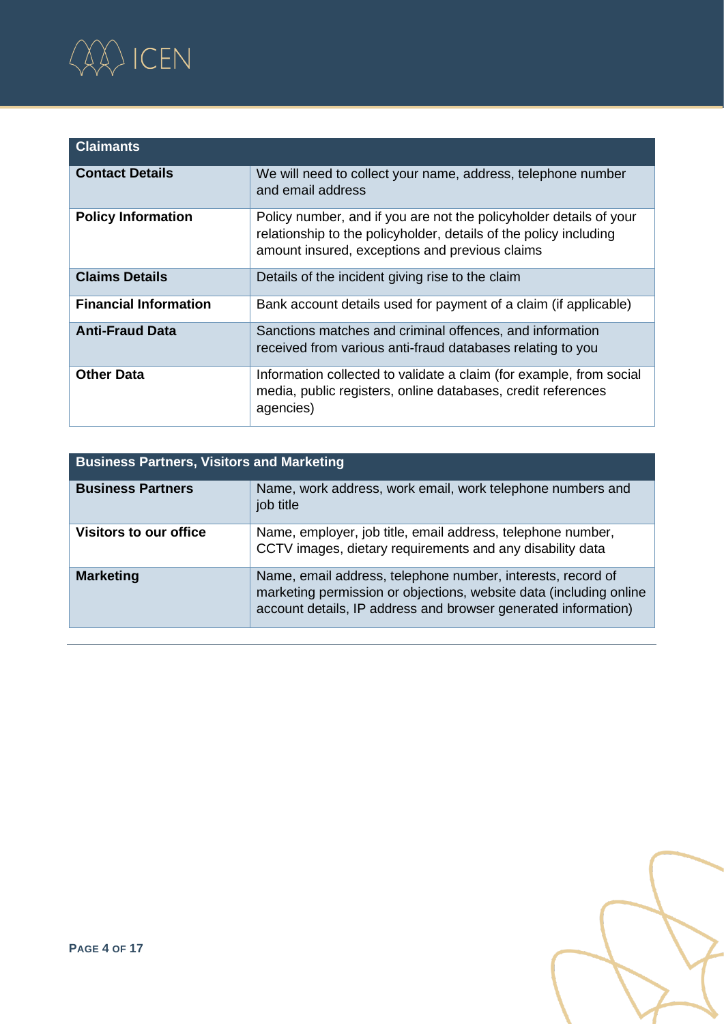

| <b>Claimants</b>             |                                                                                                                                                                                           |
|------------------------------|-------------------------------------------------------------------------------------------------------------------------------------------------------------------------------------------|
| <b>Contact Details</b>       | We will need to collect your name, address, telephone number<br>and email address                                                                                                         |
| <b>Policy Information</b>    | Policy number, and if you are not the policyholder details of your<br>relationship to the policyholder, details of the policy including<br>amount insured, exceptions and previous claims |
| <b>Claims Details</b>        | Details of the incident giving rise to the claim                                                                                                                                          |
| <b>Financial Information</b> | Bank account details used for payment of a claim (if applicable)                                                                                                                          |
| <b>Anti-Fraud Data</b>       | Sanctions matches and criminal offences, and information<br>received from various anti-fraud databases relating to you                                                                    |
| <b>Other Data</b>            | Information collected to validate a claim (for example, from social<br>media, public registers, online databases, credit references<br>agencies)                                          |

| <b>Business Partners, Visitors and Marketing</b> |                                                                                                                                                                                                     |  |
|--------------------------------------------------|-----------------------------------------------------------------------------------------------------------------------------------------------------------------------------------------------------|--|
| <b>Business Partners</b>                         | Name, work address, work email, work telephone numbers and<br>job title                                                                                                                             |  |
| Visitors to our office                           | Name, employer, job title, email address, telephone number,<br>CCTV images, dietary requirements and any disability data                                                                            |  |
| <b>Marketing</b>                                 | Name, email address, telephone number, interests, record of<br>marketing permission or objections, website data (including online<br>account details, IP address and browser generated information) |  |

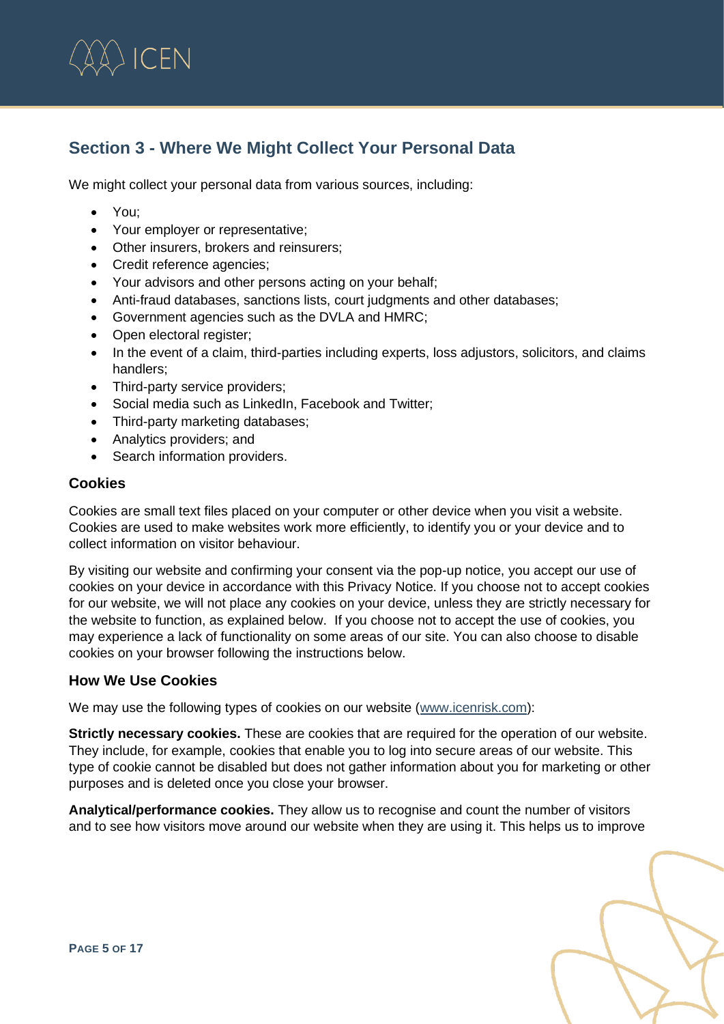

# **Section 3 - Where We Might Collect Your Personal Data**

We might collect your personal data from various sources, including:

- You;
- Your employer or representative;
- Other insurers, brokers and reinsurers;
- Credit reference agencies;
- Your advisors and other persons acting on your behalf;
- Anti-fraud databases, sanctions lists, court judgments and other databases;
- Government agencies such as the DVLA and HMRC;
- Open electoral register:
- In the event of a claim, third-parties including experts, loss adjustors, solicitors, and claims handlers;
- Third-party service providers;
- Social media such as LinkedIn, Facebook and Twitter;
- Third-party marketing databases;
- Analytics providers; and
- Search information providers.

# **Cookies**

Cookies are small text files placed on your computer or other device when you visit a website. Cookies are used to make websites work more efficiently, to identify you or your device and to collect information on visitor behaviour.

By visiting our website and confirming your consent via the pop-up notice, you accept our use of cookies on your device in accordance with this Privacy Notice. If you choose not to accept cookies for our website, we will not place any cookies on your device, unless they are strictly necessary for the website to function, as explained below. If you choose not to accept the use of cookies, you may experience a lack of functionality on some areas of our site. You can also choose to disable cookies on your browser following the instructions below.

# **How We Use Cookies**

We may use the following types of cookies on our website [\(www.icenrisk.com\)](http://www.icenrisk.com/):

**Strictly necessary cookies.** These are cookies that are required for the operation of our website. They include, for example, cookies that enable you to log into secure areas of our website. This type of cookie cannot be disabled but does not gather information about you for marketing or other purposes and is deleted once you close your browser.

**Analytical/performance cookies.** They allow us to recognise and count the number of visitors and to see how visitors move around our website when they are using it. This helps us to improve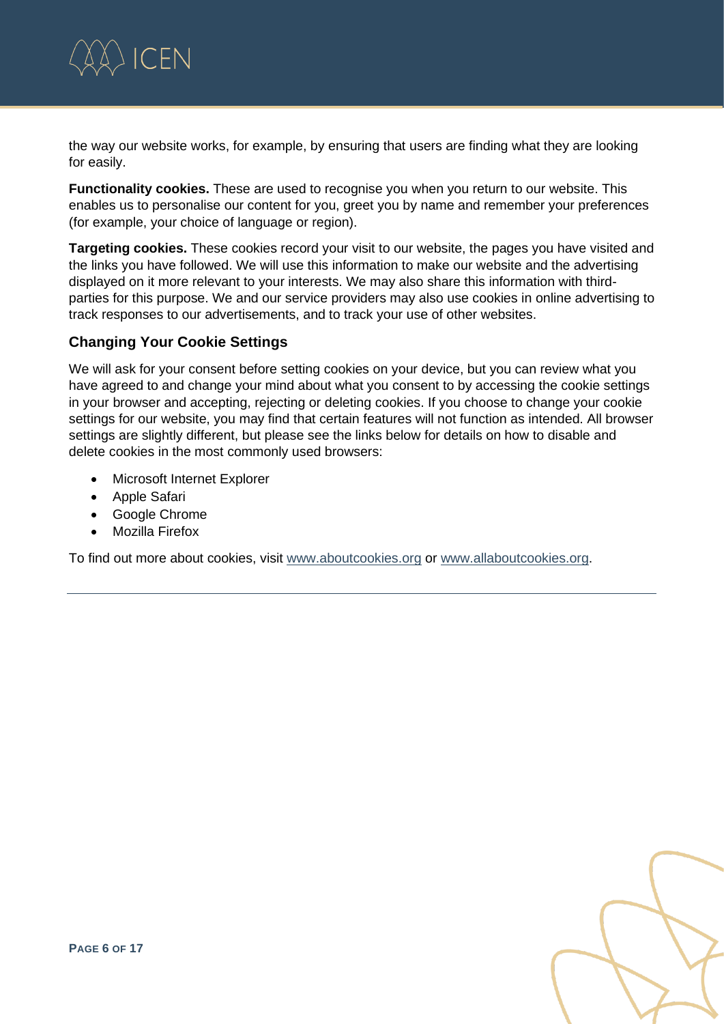

the way our website works, for example, by ensuring that users are finding what they are looking for easily.

**Functionality cookies.** These are used to recognise you when you return to our website. This enables us to personalise our content for you, greet you by name and remember your preferences (for example, your choice of language or region).

**Targeting cookies.** These cookies record your visit to our website, the pages you have visited and the links you have followed. We will use this information to make our website and the advertising displayed on it more relevant to your interests. We may also share this information with thirdparties for this purpose. We and our service providers may also use cookies in online advertising to track responses to our advertisements, and to track your use of other websites.

# **Changing Your Cookie Settings**

We will ask for your consent before setting cookies on your device, but you can review what you have agreed to and change your mind about what you consent to by accessing the cookie settings in your browser and accepting, rejecting or deleting cookies. If you choose to change your cookie settings for our website, you may find that certain features will not function as intended. All browser settings are slightly different, but please see the links below for details on how to disable and delete cookies in the most commonly used browsers:

- Microsoft Internet Explorer
- Apple Safari
- Google Chrome
- Mozilla Firefox

To find out more about cookies, visit [www.aboutcookies.org](http://www.aboutcookies.org/) or [www.allaboutcookies.org.](http://www.allaboutcookies.org/)

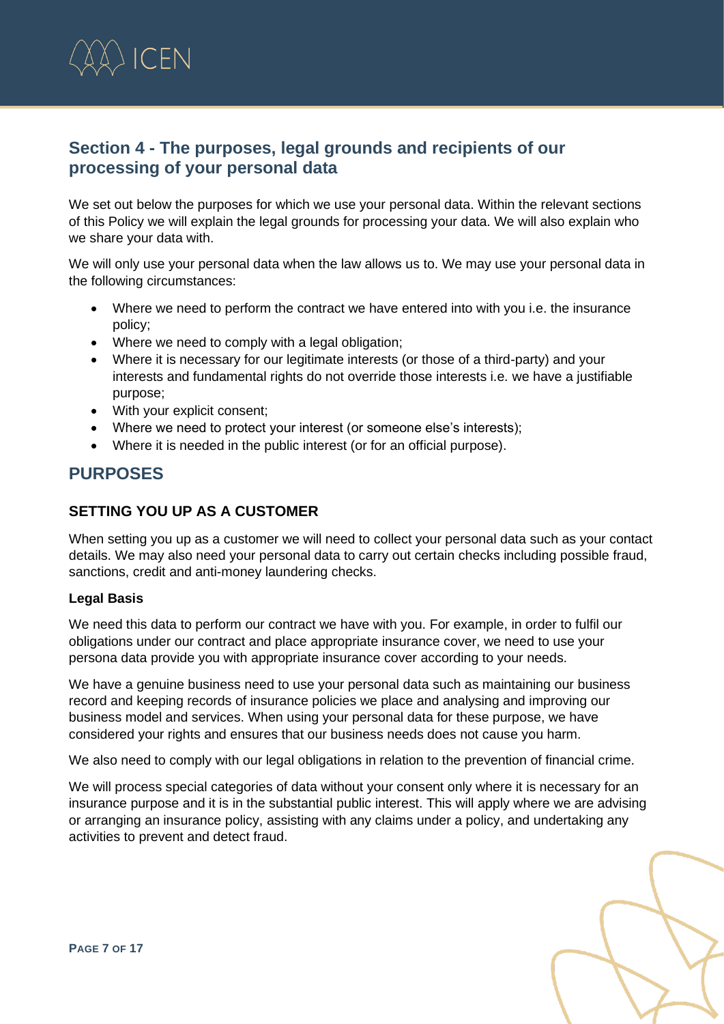

# **Section 4 - The purposes, legal grounds and recipients of our processing of your personal data**

We set out below the purposes for which we use your personal data. Within the relevant sections of this Policy we will explain the legal grounds for processing your data. We will also explain who we share your data with.

We will only use your personal data when the law allows us to. We may use your personal data in the following circumstances:

- Where we need to perform the contract we have entered into with you i.e. the insurance policy;
- Where we need to comply with a legal obligation:
- Where it is necessary for our legitimate interests (or those of a third-party) and your interests and fundamental rights do not override those interests i.e. we have a justifiable purpose;
- With your explicit consent;
- Where we need to protect your interest (or someone else's interests);
- Where it is needed in the public interest (or for an official purpose).

# **PURPOSES**

### **SETTING YOU UP AS A CUSTOMER**

When setting you up as a customer we will need to collect your personal data such as your contact details. We may also need your personal data to carry out certain checks including possible fraud, sanctions, credit and anti-money laundering checks.

#### **Legal Basis**

We need this data to perform our contract we have with you. For example, in order to fulfil our obligations under our contract and place appropriate insurance cover, we need to use your persona data provide you with appropriate insurance cover according to your needs.

We have a genuine business need to use your personal data such as maintaining our business record and keeping records of insurance policies we place and analysing and improving our business model and services. When using your personal data for these purpose, we have considered your rights and ensures that our business needs does not cause you harm.

We also need to comply with our legal obligations in relation to the prevention of financial crime.

We will process special categories of data without your consent only where it is necessary for an insurance purpose and it is in the substantial public interest. This will apply where we are advising or arranging an insurance policy, assisting with any claims under a policy, and undertaking any activities to prevent and detect fraud.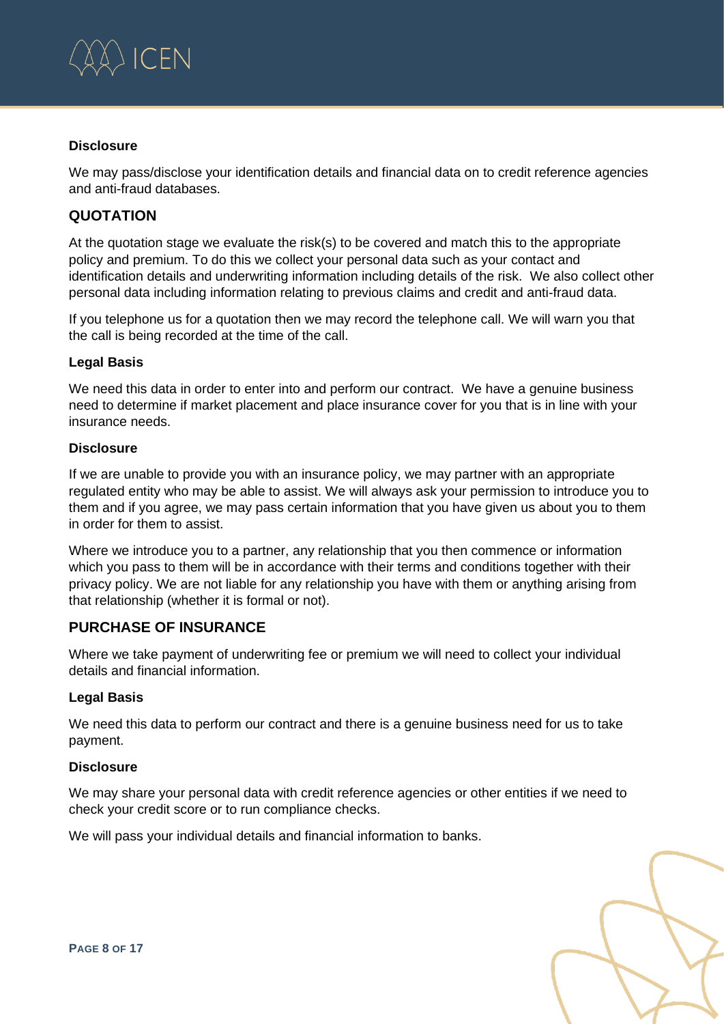

#### **Disclosure**

We may pass/disclose your identification details and financial data on to credit reference agencies and anti-fraud databases.

# **QUOTATION**

At the quotation stage we evaluate the risk(s) to be covered and match this to the appropriate policy and premium. To do this we collect your personal data such as your contact and identification details and underwriting information including details of the risk. We also collect other personal data including information relating to previous claims and credit and anti-fraud data.

If you telephone us for a quotation then we may record the telephone call. We will warn you that the call is being recorded at the time of the call.

#### **Legal Basis**

We need this data in order to enter into and perform our contract. We have a genuine business need to determine if market placement and place insurance cover for you that is in line with your insurance needs.

#### **Disclosure**

If we are unable to provide you with an insurance policy, we may partner with an appropriate regulated entity who may be able to assist. We will always ask your permission to introduce you to them and if you agree, we may pass certain information that you have given us about you to them in order for them to assist.

Where we introduce you to a partner, any relationship that you then commence or information which you pass to them will be in accordance with their terms and conditions together with their privacy policy. We are not liable for any relationship you have with them or anything arising from that relationship (whether it is formal or not).

# **PURCHASE OF INSURANCE**

Where we take payment of underwriting fee or premium we will need to collect your individual details and financial information.

#### **Legal Basis**

We need this data to perform our contract and there is a genuine business need for us to take payment.

#### **Disclosure**

We may share your personal data with credit reference agencies or other entities if we need to check your credit score or to run compliance checks.

We will pass your individual details and financial information to banks.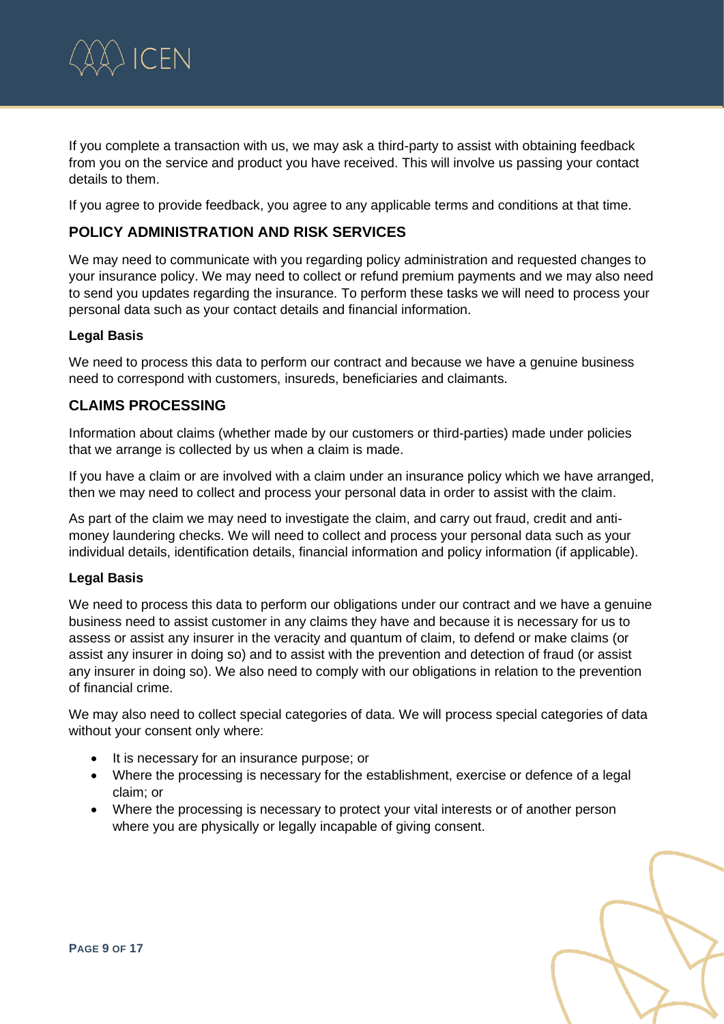

If you complete a transaction with us, we may ask a third-party to assist with obtaining feedback from you on the service and product you have received. This will involve us passing your contact details to them.

If you agree to provide feedback, you agree to any applicable terms and conditions at that time.

# **POLICY ADMINISTRATION AND RISK SERVICES**

We may need to communicate with you regarding policy administration and requested changes to your insurance policy. We may need to collect or refund premium payments and we may also need to send you updates regarding the insurance. To perform these tasks we will need to process your personal data such as your contact details and financial information.

#### **Legal Basis**

We need to process this data to perform our contract and because we have a genuine business need to correspond with customers, insureds, beneficiaries and claimants.

#### **CLAIMS PROCESSING**

Information about claims (whether made by our customers or third-parties) made under policies that we arrange is collected by us when a claim is made.

If you have a claim or are involved with a claim under an insurance policy which we have arranged, then we may need to collect and process your personal data in order to assist with the claim.

As part of the claim we may need to investigate the claim, and carry out fraud, credit and antimoney laundering checks. We will need to collect and process your personal data such as your individual details, identification details, financial information and policy information (if applicable).

#### **Legal Basis**

We need to process this data to perform our obligations under our contract and we have a genuine business need to assist customer in any claims they have and because it is necessary for us to assess or assist any insurer in the veracity and quantum of claim, to defend or make claims (or assist any insurer in doing so) and to assist with the prevention and detection of fraud (or assist any insurer in doing so). We also need to comply with our obligations in relation to the prevention of financial crime.

We may also need to collect special categories of data. We will process special categories of data without your consent only where:

- It is necessary for an insurance purpose; or
- Where the processing is necessary for the establishment, exercise or defence of a legal claim; or
- Where the processing is necessary to protect your vital interests or of another person where you are physically or legally incapable of giving consent.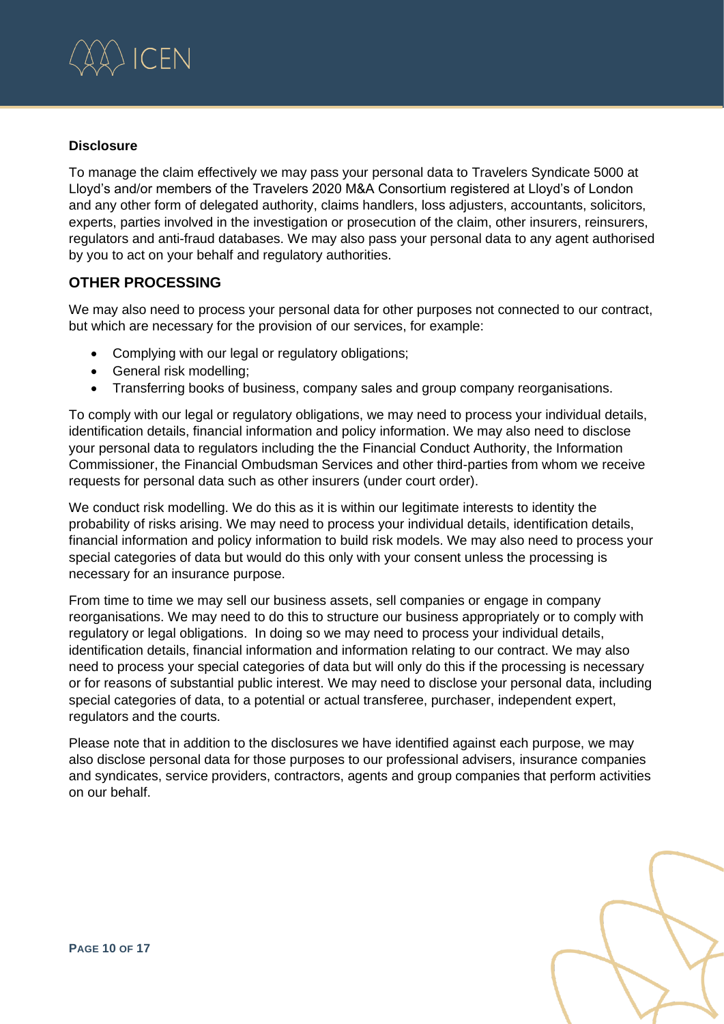

#### **Disclosure**

To manage the claim effectively we may pass your personal data to Travelers Syndicate 5000 at Lloyd's and/or members of the Travelers 2020 M&A Consortium registered at Lloyd's of London and any other form of delegated authority, claims handlers, loss adjusters, accountants, solicitors, experts, parties involved in the investigation or prosecution of the claim, other insurers, reinsurers, regulators and anti-fraud databases. We may also pass your personal data to any agent authorised by you to act on your behalf and regulatory authorities.

## **OTHER PROCESSING**

We may also need to process your personal data for other purposes not connected to our contract, but which are necessary for the provision of our services, for example:

- Complying with our legal or regulatory obligations;
- General risk modelling;
- Transferring books of business, company sales and group company reorganisations.

To comply with our legal or regulatory obligations, we may need to process your individual details, identification details, financial information and policy information. We may also need to disclose your personal data to regulators including the the Financial Conduct Authority, the Information Commissioner, the Financial Ombudsman Services and other third-parties from whom we receive requests for personal data such as other insurers (under court order).

We conduct risk modelling. We do this as it is within our legitimate interests to identity the probability of risks arising. We may need to process your individual details, identification details, financial information and policy information to build risk models. We may also need to process your special categories of data but would do this only with your consent unless the processing is necessary for an insurance purpose.

From time to time we may sell our business assets, sell companies or engage in company reorganisations. We may need to do this to structure our business appropriately or to comply with regulatory or legal obligations. In doing so we may need to process your individual details, identification details, financial information and information relating to our contract. We may also need to process your special categories of data but will only do this if the processing is necessary or for reasons of substantial public interest. We may need to disclose your personal data, including special categories of data, to a potential or actual transferee, purchaser, independent expert, regulators and the courts.

Please note that in addition to the disclosures we have identified against each purpose, we may also disclose personal data for those purposes to our professional advisers, insurance companies and syndicates, service providers, contractors, agents and group companies that perform activities on our behalf.

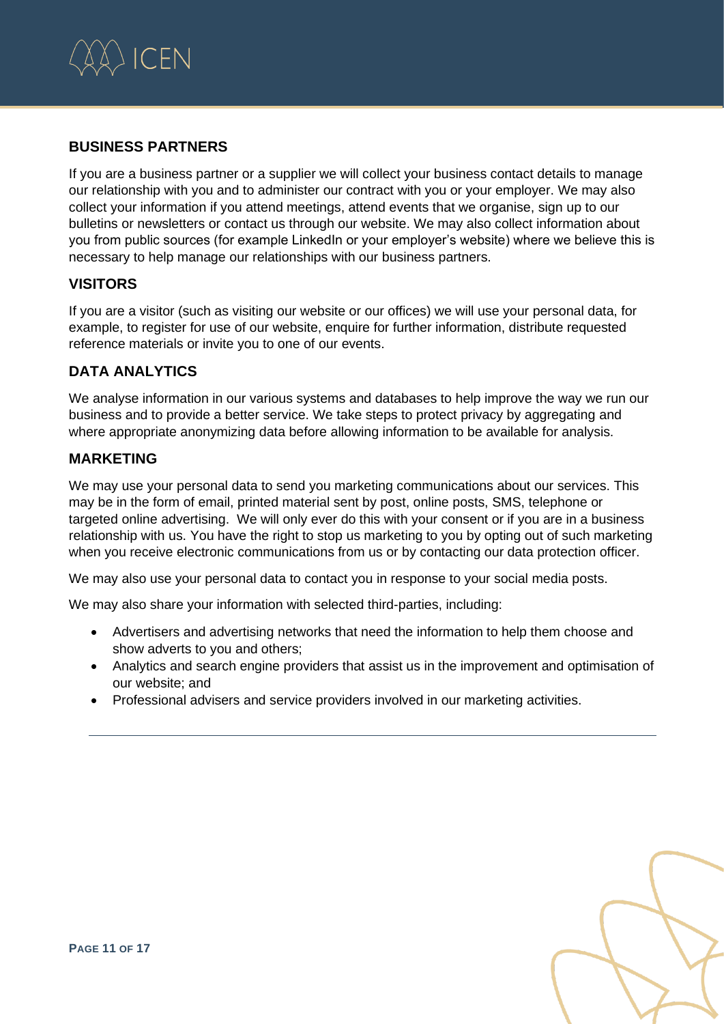

# **BUSINESS PARTNERS**

If you are a business partner or a supplier we will collect your business contact details to manage our relationship with you and to administer our contract with you or your employer. We may also collect your information if you attend meetings, attend events that we organise, sign up to our bulletins or newsletters or contact us through our website. We may also collect information about you from public sources (for example LinkedIn or your employer's website) where we believe this is necessary to help manage our relationships with our business partners.

# **VISITORS**

If you are a visitor (such as visiting our website or our offices) we will use your personal data, for example, to register for use of our website, enquire for further information, distribute requested reference materials or invite you to one of our events.

# **DATA ANALYTICS**

We analyse information in our various systems and databases to help improve the way we run our business and to provide a better service. We take steps to protect privacy by aggregating and where appropriate anonymizing data before allowing information to be available for analysis.

# **MARKETING**

We may use your personal data to send you marketing communications about our services. This may be in the form of email, printed material sent by post, online posts, SMS, telephone or targeted online advertising. We will only ever do this with your consent or if you are in a business relationship with us. You have the right to stop us marketing to you by opting out of such marketing when you receive electronic communications from us or by contacting our data protection officer.

We may also use your personal data to contact you in response to your social media posts.

We may also share your information with selected third-parties, including:

- Advertisers and advertising networks that need the information to help them choose and show adverts to you and others;
- Analytics and search engine providers that assist us in the improvement and optimisation of our website; and
- Professional advisers and service providers involved in our marketing activities.

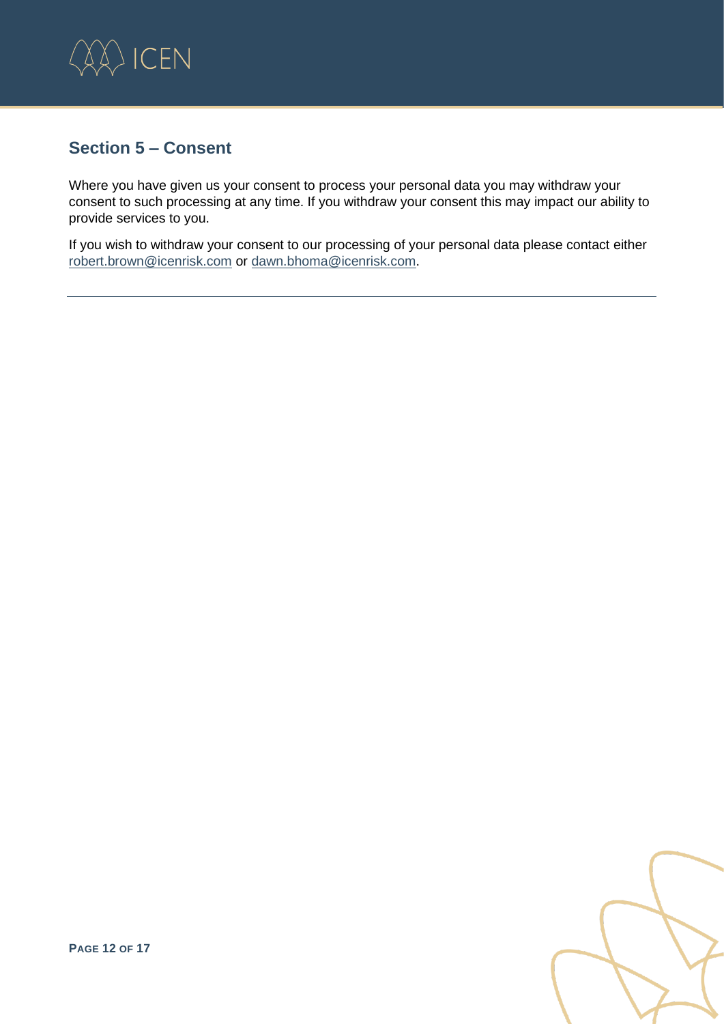

# **Section 5 – Consent**

Where you have given us your consent to process your personal data you may withdraw your consent to such processing at any time. If you withdraw your consent this may impact our ability to provide services to you.

If you wish to withdraw your consent to our processing of your personal data please contact either [robert.brown@icenrisk.com](mailto:robert.brown@icenrisk.com) or [dawn.bhoma@icenrisk.com.](mailto:dawn.bhoma@icenrisk.com)

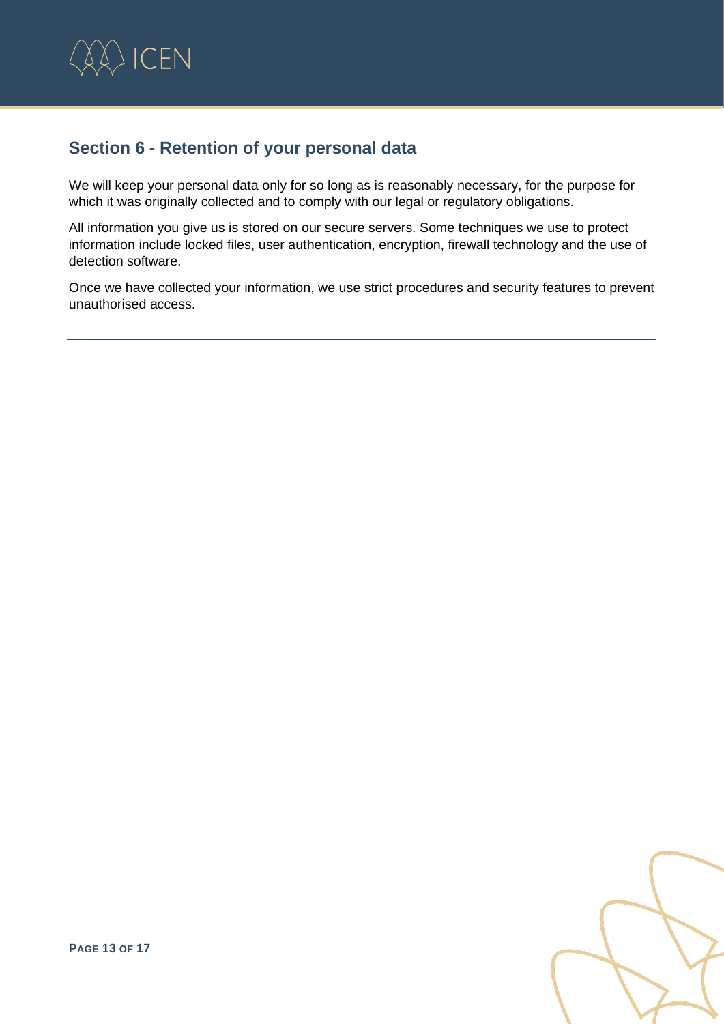

# **Section 6 - Retention of your personal data**

We will keep your personal data only for so long as is reasonably necessary, for the purpose for which it was originally collected and to comply with our legal or regulatory obligations.

All information you give us is stored on our secure servers. Some techniques we use to protect information include locked files, user authentication, encryption, firewall technology and the use of detection software.

Once we have collected your information, we use strict procedures and security features to prevent unauthorised access.

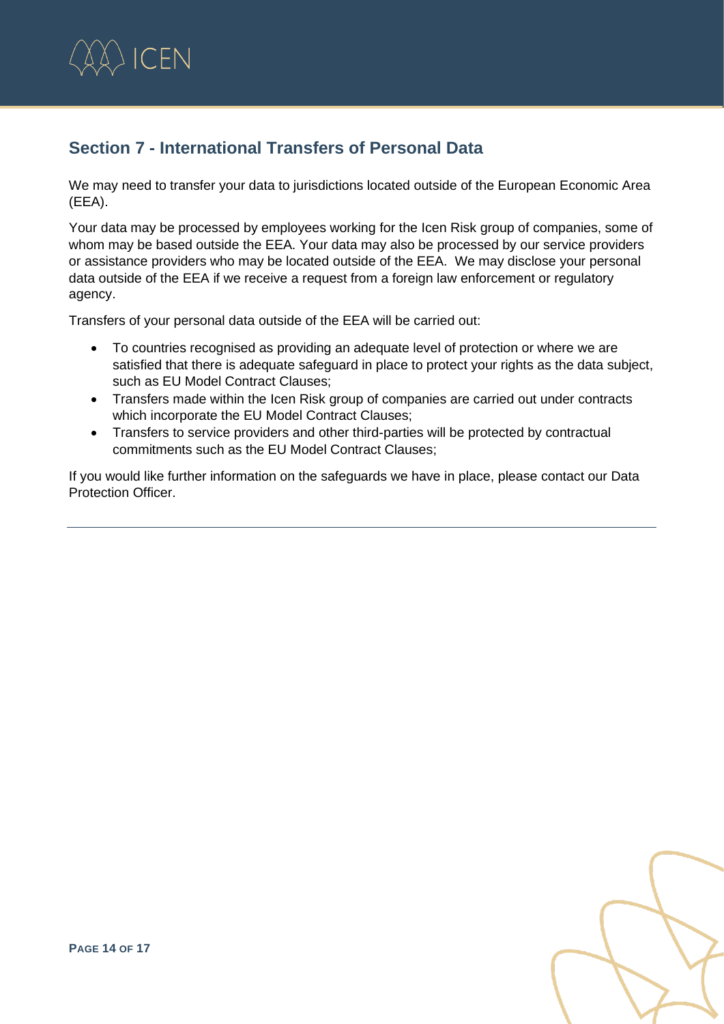

# **Section 7 - International Transfers of Personal Data**

We may need to transfer your data to jurisdictions located outside of the European Economic Area (EEA).

Your data may be processed by employees working for the Icen Risk group of companies, some of whom may be based outside the EEA. Your data may also be processed by our service providers or assistance providers who may be located outside of the EEA. We may disclose your personal data outside of the EEA if we receive a request from a foreign law enforcement or regulatory agency.

Transfers of your personal data outside of the EEA will be carried out:

- To countries recognised as providing an adequate level of protection or where we are satisfied that there is adequate safeguard in place to protect your rights as the data subject, such as EU Model Contract Clauses;
- Transfers made within the Icen Risk group of companies are carried out under contracts which incorporate the EU Model Contract Clauses;
- Transfers to service providers and other third-parties will be protected by contractual commitments such as the EU Model Contract Clauses;

If you would like further information on the safeguards we have in place, please contact our Data Protection Officer.

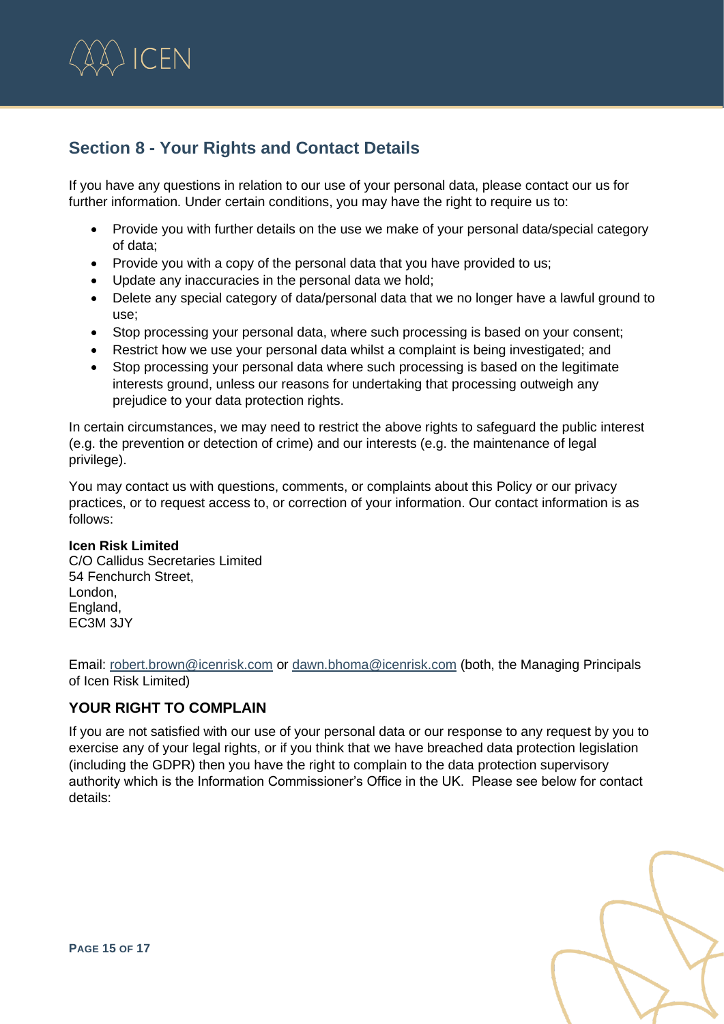

# **Section 8 - Your Rights and Contact Details**

If you have any questions in relation to our use of your personal data, please contact our us for further information. Under certain conditions, you may have the right to require us to:

- Provide you with further details on the use we make of your personal data/special category of data;
- Provide you with a copy of the personal data that you have provided to us;
- Update any inaccuracies in the personal data we hold;
- Delete any special category of data/personal data that we no longer have a lawful ground to use;
- Stop processing your personal data, where such processing is based on your consent;
- Restrict how we use your personal data whilst a complaint is being investigated; and
- Stop processing your personal data where such processing is based on the legitimate interests ground, unless our reasons for undertaking that processing outweigh any prejudice to your data protection rights.

In certain circumstances, we may need to restrict the above rights to safeguard the public interest (e.g. the prevention or detection of crime) and our interests (e.g. the maintenance of legal privilege).

You may contact us with questions, comments, or complaints about this Policy or our privacy practices, or to request access to, or correction of your information. Our contact information is as follows:

#### **Icen Risk Limited**

C/O Callidus Secretaries Limited 54 Fenchurch Street, London, England, EC3M 3JY

Email: [robert.brown@icenrisk.com](mailto:robert.brown@icenrisk.com) or [dawn.bhoma@icenrisk.com](mailto:dawn.bhoma@icenrisk.com) (both, the Managing Principals of Icen Risk Limited)

# **YOUR RIGHT TO COMPLAIN**

If you are not satisfied with our use of your personal data or our response to any request by you to exercise any of your legal rights, or if you think that we have breached data protection legislation (including the GDPR) then you have the right to complain to the data protection supervisory authority which is the Information Commissioner's Office in the UK. Please see below for contact details:

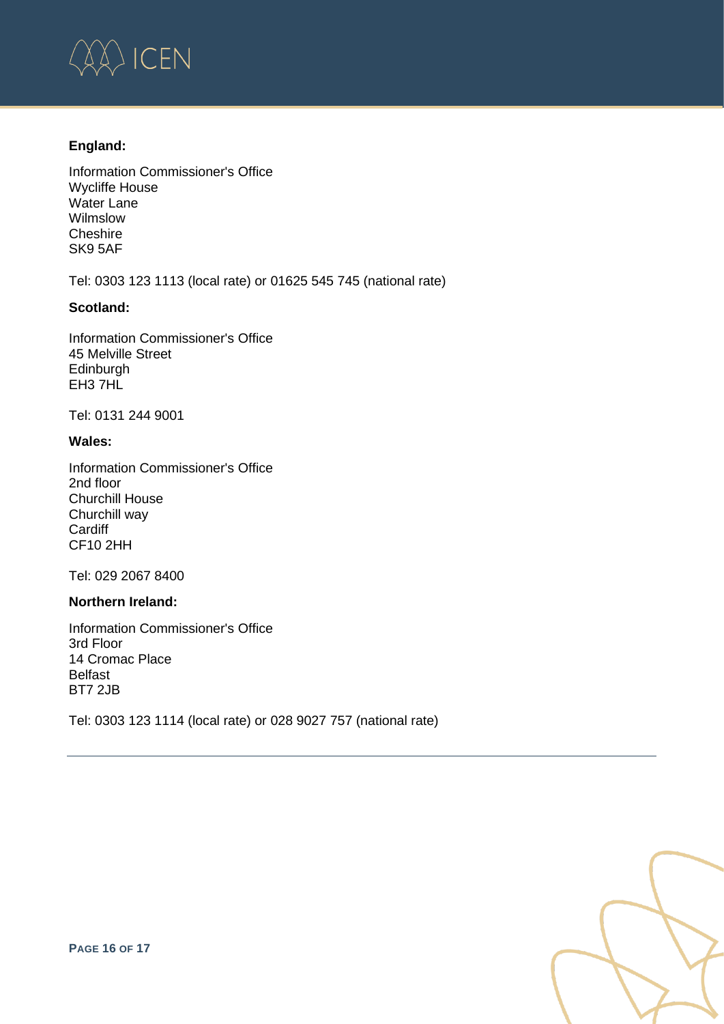

#### **England:**

Information Commissioner's Office Wycliffe House Water Lane Wilmslow **Cheshire** SK9 5AF

Tel: 0303 123 1113 (local rate) or 01625 545 745 (national rate)

#### **Scotland:**

Information Commissioner's Office 45 Melville Street Edinburgh EH3 7HL

Tel: 0131 244 9001

#### **Wales:**

Information Commissioner's Office 2nd floor Churchill House Churchill way **Cardiff** CF10 2HH

Tel: 029 2067 8400

#### **Northern Ireland:**

Information Commissioner's Office 3rd Floor 14 Cromac Place Belfast BT7 2JB

Tel: 0303 123 1114 (local rate) or 028 9027 757 (national rate)